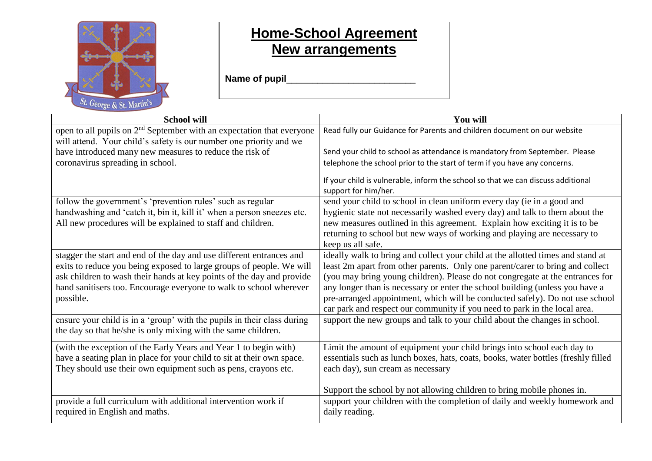

## **Home-School Agreement New arrangements**

**Name of pupil**\_\_\_\_\_\_\_\_\_\_\_\_\_\_\_\_\_\_\_\_\_\_\_\_\_

| <b>School will</b>                                                                                                                                                                                                                                                                                       | You will                                                                                                                                                                                                                                                                                                                                                                                                                                                                                       |
|----------------------------------------------------------------------------------------------------------------------------------------------------------------------------------------------------------------------------------------------------------------------------------------------------------|------------------------------------------------------------------------------------------------------------------------------------------------------------------------------------------------------------------------------------------------------------------------------------------------------------------------------------------------------------------------------------------------------------------------------------------------------------------------------------------------|
| open to all pupils on $2nd$ September with an expectation that everyone<br>will attend. Your child's safety is our number one priority and we                                                                                                                                                            | Read fully our Guidance for Parents and children document on our website                                                                                                                                                                                                                                                                                                                                                                                                                       |
| have introduced many new measures to reduce the risk of                                                                                                                                                                                                                                                  | Send your child to school as attendance is mandatory from September. Please                                                                                                                                                                                                                                                                                                                                                                                                                    |
| coronavirus spreading in school.                                                                                                                                                                                                                                                                         | telephone the school prior to the start of term if you have any concerns.                                                                                                                                                                                                                                                                                                                                                                                                                      |
|                                                                                                                                                                                                                                                                                                          | If your child is vulnerable, inform the school so that we can discuss additional<br>support for him/her.                                                                                                                                                                                                                                                                                                                                                                                       |
| follow the government's 'prevention rules' such as regular<br>handwashing and 'catch it, bin it, kill it' when a person sneezes etc.                                                                                                                                                                     | send your child to school in clean uniform every day (ie in a good and<br>hygienic state not necessarily washed every day) and talk to them about the                                                                                                                                                                                                                                                                                                                                          |
| All new procedures will be explained to staff and children.                                                                                                                                                                                                                                              | new measures outlined in this agreement. Explain how exciting it is to be<br>returning to school but new ways of working and playing are necessary to<br>keep us all safe.                                                                                                                                                                                                                                                                                                                     |
| stagger the start and end of the day and use different entrances and<br>exits to reduce you being exposed to large groups of people. We will<br>ask children to wash their hands at key points of the day and provide<br>hand sanitisers too. Encourage everyone to walk to school wherever<br>possible. | ideally walk to bring and collect your child at the allotted times and stand at<br>least 2m apart from other parents. Only one parent/carer to bring and collect<br>(you may bring young children). Please do not congregate at the entrances for<br>any longer than is necessary or enter the school building (unless you have a<br>pre-arranged appointment, which will be conducted safely). Do not use school<br>car park and respect our community if you need to park in the local area. |
| ensure your child is in a 'group' with the pupils in their class during<br>the day so that he/she is only mixing with the same children.                                                                                                                                                                 | support the new groups and talk to your child about the changes in school.                                                                                                                                                                                                                                                                                                                                                                                                                     |
| (with the exception of the Early Years and Year 1 to begin with)<br>have a seating plan in place for your child to sit at their own space.<br>They should use their own equipment such as pens, crayons etc.                                                                                             | Limit the amount of equipment your child brings into school each day to<br>essentials such as lunch boxes, hats, coats, books, water bottles (freshly filled<br>each day), sun cream as necessary                                                                                                                                                                                                                                                                                              |
| provide a full curriculum with additional intervention work if<br>required in English and maths.                                                                                                                                                                                                         | Support the school by not allowing children to bring mobile phones in.<br>support your children with the completion of daily and weekly homework and<br>daily reading.                                                                                                                                                                                                                                                                                                                         |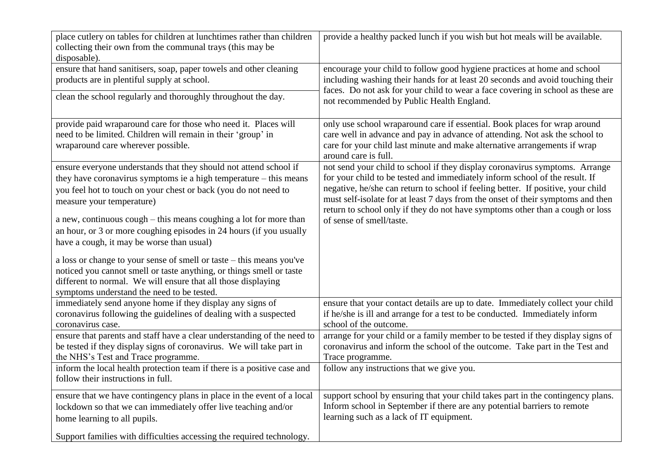| place cutlery on tables for children at lunchtimes rather than children<br>collecting their own from the communal trays (this may be<br>disposable).                                                                                                                                                                                                                                                                            | provide a healthy packed lunch if you wish but hot meals will be available.                                                                                                                                                                                                                                                                                                                                                                    |
|---------------------------------------------------------------------------------------------------------------------------------------------------------------------------------------------------------------------------------------------------------------------------------------------------------------------------------------------------------------------------------------------------------------------------------|------------------------------------------------------------------------------------------------------------------------------------------------------------------------------------------------------------------------------------------------------------------------------------------------------------------------------------------------------------------------------------------------------------------------------------------------|
| ensure that hand sanitisers, soap, paper towels and other cleaning<br>products are in plentiful supply at school.<br>clean the school regularly and thoroughly throughout the day.                                                                                                                                                                                                                                              | encourage your child to follow good hygiene practices at home and school<br>including washing their hands for at least 20 seconds and avoid touching their<br>faces. Do not ask for your child to wear a face covering in school as these are<br>not recommended by Public Health England.                                                                                                                                                     |
| provide paid wraparound care for those who need it. Places will<br>need to be limited. Children will remain in their 'group' in<br>wraparound care wherever possible.                                                                                                                                                                                                                                                           | only use school wraparound care if essential. Book places for wrap around<br>care well in advance and pay in advance of attending. Not ask the school to<br>care for your child last minute and make alternative arrangements if wrap<br>around care is full.                                                                                                                                                                                  |
| ensure everyone understands that they should not attend school if<br>they have coronavirus symptoms ie a high temperature – this means<br>you feel hot to touch on your chest or back (you do not need to<br>measure your temperature)<br>a new, continuous cough – this means coughing a lot for more than<br>an hour, or 3 or more coughing episodes in 24 hours (if you usually<br>have a cough, it may be worse than usual) | not send your child to school if they display coronavirus symptoms. Arrange<br>for your child to be tested and immediately inform school of the result. If<br>negative, he/she can return to school if feeling better. If positive, your child<br>must self-isolate for at least 7 days from the onset of their symptoms and then<br>return to school only if they do not have symptoms other than a cough or loss<br>of sense of smell/taste. |
| a loss or change to your sense of smell or taste – this means you've<br>noticed you cannot smell or taste anything, or things smell or taste<br>different to normal. We will ensure that all those displaying<br>symptoms understand the need to be tested.                                                                                                                                                                     |                                                                                                                                                                                                                                                                                                                                                                                                                                                |
| immediately send anyone home if they display any signs of<br>coronavirus following the guidelines of dealing with a suspected<br>coronavirus case.                                                                                                                                                                                                                                                                              | ensure that your contact details are up to date. Immediately collect your child<br>if he/she is ill and arrange for a test to be conducted. Immediately inform<br>school of the outcome.                                                                                                                                                                                                                                                       |
| ensure that parents and staff have a clear understanding of the need to<br>be tested if they display signs of coronavirus. We will take part in<br>the NHS's Test and Trace programme.<br>inform the local health protection team if there is a positive case and                                                                                                                                                               | arrange for your child or a family member to be tested if they display signs of<br>coronavirus and inform the school of the outcome. Take part in the Test and<br>Trace programme.<br>follow any instructions that we give you.                                                                                                                                                                                                                |
| follow their instructions in full.<br>ensure that we have contingency plans in place in the event of a local                                                                                                                                                                                                                                                                                                                    | support school by ensuring that your child takes part in the contingency plans.                                                                                                                                                                                                                                                                                                                                                                |
| lockdown so that we can immediately offer live teaching and/or<br>home learning to all pupils.                                                                                                                                                                                                                                                                                                                                  | Inform school in September if there are any potential barriers to remote<br>learning such as a lack of IT equipment.                                                                                                                                                                                                                                                                                                                           |
| Support families with difficulties accessing the required technology.                                                                                                                                                                                                                                                                                                                                                           |                                                                                                                                                                                                                                                                                                                                                                                                                                                |